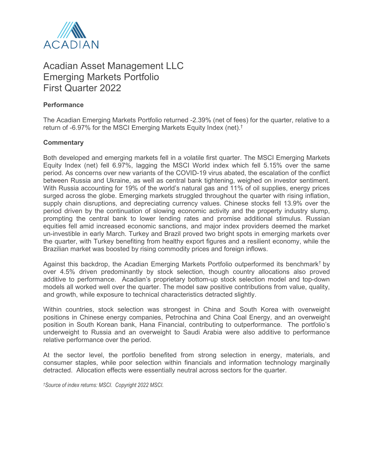

## Acadian Asset Management LLC Emerging Markets Portfolio First Quarter 2022

## **Performance**

The Acadian Emerging Markets Portfolio returned -2.39% (net of fees) for the quarter, relative to a return of -6.97% for the MSCI Emerging Markets Equity Index (net).†

## **Commentary**

Both developed and emerging markets fell in a volatile first quarter. The MSCI Emerging Markets Equity Index (net) fell 6.97%, lagging the MSCI World index which fell 5.15% over the same period. As concerns over new variants of the COVID-19 virus abated, the escalation of the conflict between Russia and Ukraine, as well as central bank tightening, weighed on investor sentiment. With Russia accounting for 19% of the world's natural gas and 11% of oil supplies, energy prices surged across the globe. Emerging markets struggled throughout the quarter with rising inflation, supply chain disruptions, and depreciating currency values. Chinese stocks fell 13.9% over the period driven by the continuation of slowing economic activity and the property industry slump, prompting the central bank to lower lending rates and promise additional stimulus. Russian equities fell amid increased economic sanctions, and major index providers deemed the market un-investible in early March. Turkey and Brazil proved two bright spots in emerging markets over the quarter, with Turkey benefiting from healthy export figures and a resilient economy, while the Brazilian market was boosted by rising commodity prices and foreign inflows.

Against this backdrop, the Acadian Emerging Markets Portfolio outperformed its benchmark† by over 4.5% driven predominantly by stock selection, though country allocations also proved additive to performance. Acadian's proprietary bottom-up stock selection model and top-down models all worked well over the quarter. The model saw positive contributions from value, quality, and growth, while exposure to technical characteristics detracted slightly.

Within countries, stock selection was strongest in China and South Korea with overweight positions in Chinese energy companies, Petrochina and China Coal Energy, and an overweight position in South Korean bank, Hana Financial, contributing to outperformance. The portfolio's underweight to Russia and an overweight to Saudi Arabia were also additive to performance relative performance over the period.

At the sector level, the portfolio benefited from strong selection in energy, materials, and consumer staples, while poor selection within financials and information technology marginally detracted. Allocation effects were essentially neutral across sectors for the quarter.

*†Source of index returns: MSCI. Copyright 2022 MSCI.*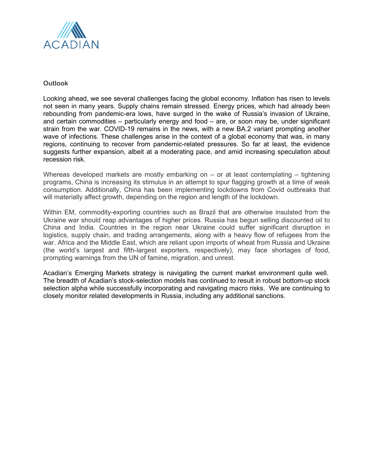

## **Outlook**

Looking ahead, we see several challenges facing the global economy. Inflation has risen to levels not seen in many years. Supply chains remain stressed. Energy prices, which had already been rebounding from pandemic-era lows, have surged in the wake of Russia's invasion of Ukraine, and certain commodities – particularly energy and food – are, or soon may be, under significant strain from the war. COVID-19 remains in the news, with a new BA.2 variant prompting another wave of infections. These challenges arise in the context of a global economy that was, in many regions, continuing to recover from pandemic-related pressures. So far at least, the evidence suggests further expansion, albeit at a moderating pace, and amid increasing speculation about recession risk.

Whereas developed markets are mostly embarking on – or at least contemplating – tightening programs, China is increasing its stimulus in an attempt to spur flagging growth at a time of weak consumption. Additionally, China has been implementing lockdowns from Covid outbreaks that will materially affect growth, depending on the region and length of the lockdown.

Within EM, commodity-exporting countries such as Brazil that are otherwise insulated from the Ukraine war should reap advantages of higher prices. Russia has begun selling discounted oil to China and India. Countries in the region near Ukraine could suffer significant disruption in logistics, supply chain, and trading arrangements, along with a heavy flow of refugees from the war. Africa and the Middle East, which are reliant upon imports of wheat from Russia and Ukraine (the world's largest and fifth-largest exporters, respectively), may face shortages of food, prompting warnings from the UN of famine, migration, and unrest.

Acadian's Emerging Markets strategy is navigating the current market environment quite well.  The breadth of Acadian's stock-selection models has continued to result in robust bottom-up stock selection alpha while successfully incorporating and navigating macro risks. We are continuing to closely monitor related developments in Russia, including any additional sanctions.